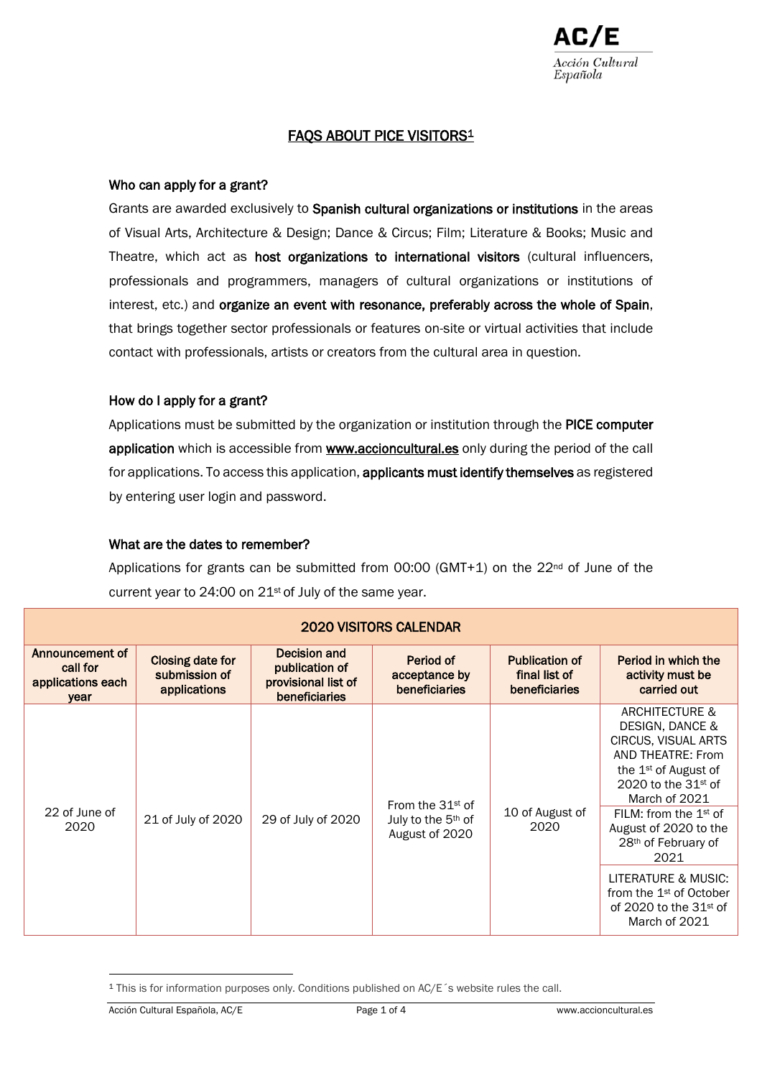# FAQS ABOUT PICE VISITORS<sup>1</sup>

## Who can apply for a grant?

Grants are awarded exclusively to Spanish cultural organizations or institutions in the areas of Visual Arts, Architecture & Design; Dance & Circus; Film; Literature & Books; Music and Theatre, which act as host organizations to international visitors (cultural influencers, professionals and programmers, managers of cultural organizations or institutions of interest, etc.) and organize an event with resonance, preferably across the whole of Spain, that brings together sector professionals or features on-site or virtual activities that include contact with professionals, artists or creators from the cultural area in question.

## How do I apply for a grant?

Applications must be submitted by the organization or institution through the PICE computer application which is accessible from **www.accioncultural.es** only during the period of the call for applications. To access this application, applicants must identify themselves as registered by entering user login and password.

#### What are the dates to remember?

Applications for grants can be submitted from  $00:00$  (GMT+1) on the 22<sup>nd</sup> of June of the current year to 24:00 on 21st of July of the same year.

| <b>2020 VISITORS CALENDAR</b>                            |                                                   |                                                                               |                                                                        |                                                         |                                                                                                                                                                                                                                                                                                                                                                    |  |  |  |  |  |  |
|----------------------------------------------------------|---------------------------------------------------|-------------------------------------------------------------------------------|------------------------------------------------------------------------|---------------------------------------------------------|--------------------------------------------------------------------------------------------------------------------------------------------------------------------------------------------------------------------------------------------------------------------------------------------------------------------------------------------------------------------|--|--|--|--|--|--|
| Announcement of<br>call for<br>applications each<br>year | Closing date for<br>submission of<br>applications | Decision and<br>publication of<br>provisional list of<br><b>beneficiaries</b> | Period of<br>acceptance by<br>beneficiaries                            | <b>Publication of</b><br>final list of<br>beneficiaries | Period in which the<br>activity must be<br>carried out                                                                                                                                                                                                                                                                                                             |  |  |  |  |  |  |
| 22 of June of<br>2020                                    | 21 of July of 2020                                | 29 of July of 2020                                                            | From the $31st$ of<br>July to the 5 <sup>th</sup> of<br>August of 2020 | 10 of August of<br>2020                                 | ARCHITECTURE &<br>DESIGN, DANCE &<br><b>CIRCUS, VISUAL ARTS</b><br>AND THEATRE: From<br>the $1st$ of August of<br>2020 to the $31st$ of<br>March of 2021<br>FILM: from the $1st$ of<br>August of 2020 to the<br>28 <sup>th</sup> of February of<br>2021<br>LITERATURE & MUSIC:<br>from the 1 <sup>st</sup> of October<br>of 2020 to the $31st$ of<br>March of 2021 |  |  |  |  |  |  |

<sup>1</sup> This is for information purposes only. Conditions published on AC/E´s website rules the call.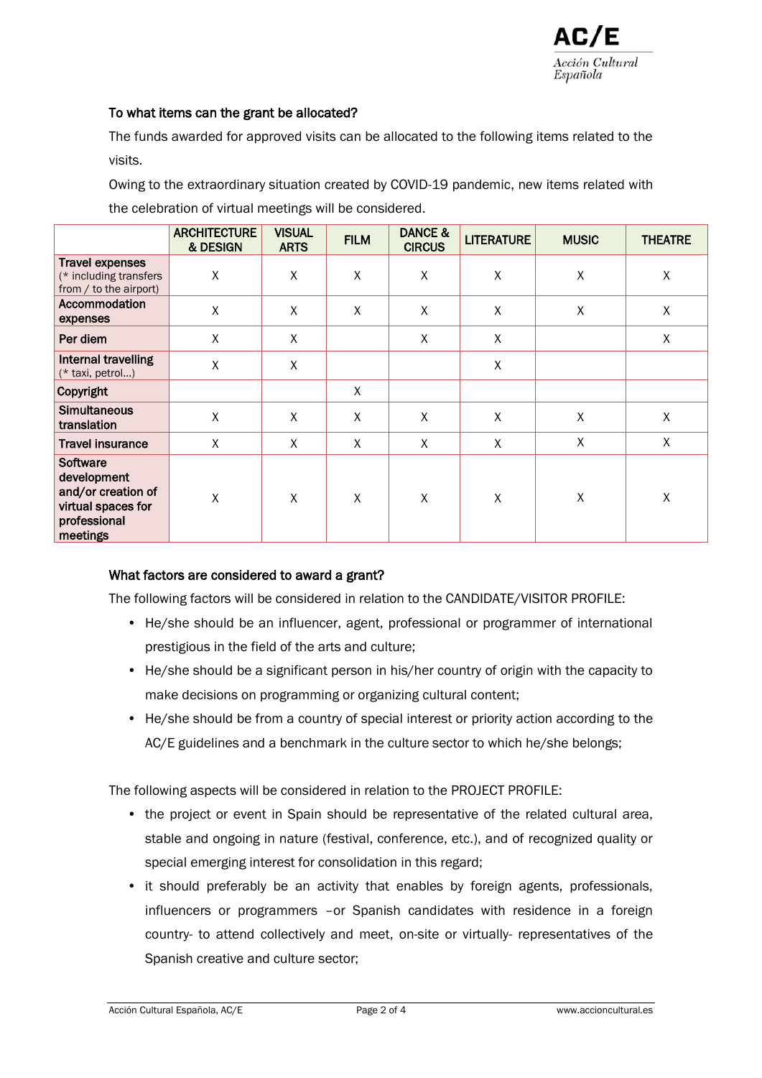#### To what items can the grant be allocated?

The funds awarded for approved visits can be allocated to the following items related to the visits.

Owing to the extraordinary situation created by COVID-19 pandemic, new items related with the celebration of virtual meetings will be considered.

|                                                                                                        | <b>ARCHITECTURE</b><br>& DESIGN | <b>VISUAL</b><br><b>ARTS</b> | <b>FILM</b> | DANCE &<br><b>CIRCUS</b> | <b>LITERATURE</b> | <b>MUSIC</b>       | <b>THEATRE</b>     |
|--------------------------------------------------------------------------------------------------------|---------------------------------|------------------------------|-------------|--------------------------|-------------------|--------------------|--------------------|
| <b>Travel expenses</b><br>(* including transfers<br>from / to the airport)                             | $\sf X$                         | X                            | X           | $\pmb{\chi}$             | $\sf X$           | $\pmb{\mathsf{X}}$ | $\pmb{\mathsf{X}}$ |
| Accommodation<br>expenses                                                                              | X                               | $\sf X$                      | X           | $\pmb{\chi}$             | $\sf X$           | X                  | X                  |
| Per diem                                                                                               | X                               | X                            |             | $\mathsf{X}$             | X                 |                    | X                  |
| Internal travelling<br>(* taxi, petrol)                                                                | X                               | X                            |             |                          | $\pmb{\chi}$      |                    |                    |
| Copyright                                                                                              |                                 |                              | X           |                          |                   |                    |                    |
| <b>Simultaneous</b><br>translation                                                                     | X                               | $\sf X$                      | X           | $\sf X$                  | $\pmb{\chi}$      | X                  | Χ                  |
| <b>Travel insurance</b>                                                                                | X                               | X                            | X           | X                        | X                 | X                  | X                  |
| <b>Software</b><br>development<br>and/or creation of<br>virtual spaces for<br>professional<br>meetings | X                               | X                            | X           | X                        | X                 | X                  | Χ                  |

# What factors are considered to award a grant?

The following factors will be considered in relation to the CANDIDATE/VISITOR PROFILE:

- He/she should be an influencer, agent, professional or programmer of international prestigious in the field of the arts and culture;
- He/she should be a significant person in his/her country of origin with the capacity to make decisions on programming or organizing cultural content;
- He/she should be from a country of special interest or priority action according to the AC/E guidelines and a benchmark in the culture sector to which he/she belongs;

The following aspects will be considered in relation to the PROJECT PROFILE:

- the project or event in Spain should be representative of the related cultural area, stable and ongoing in nature (festival, conference, etc.), and of recognized quality or special emerging interest for consolidation in this regard;
- it should preferably be an activity that enables by foreign agents, professionals, influencers or programmers –or Spanish candidates with residence in a foreign country- to attend collectively and meet, on-site or virtually- representatives of the Spanish creative and culture sector;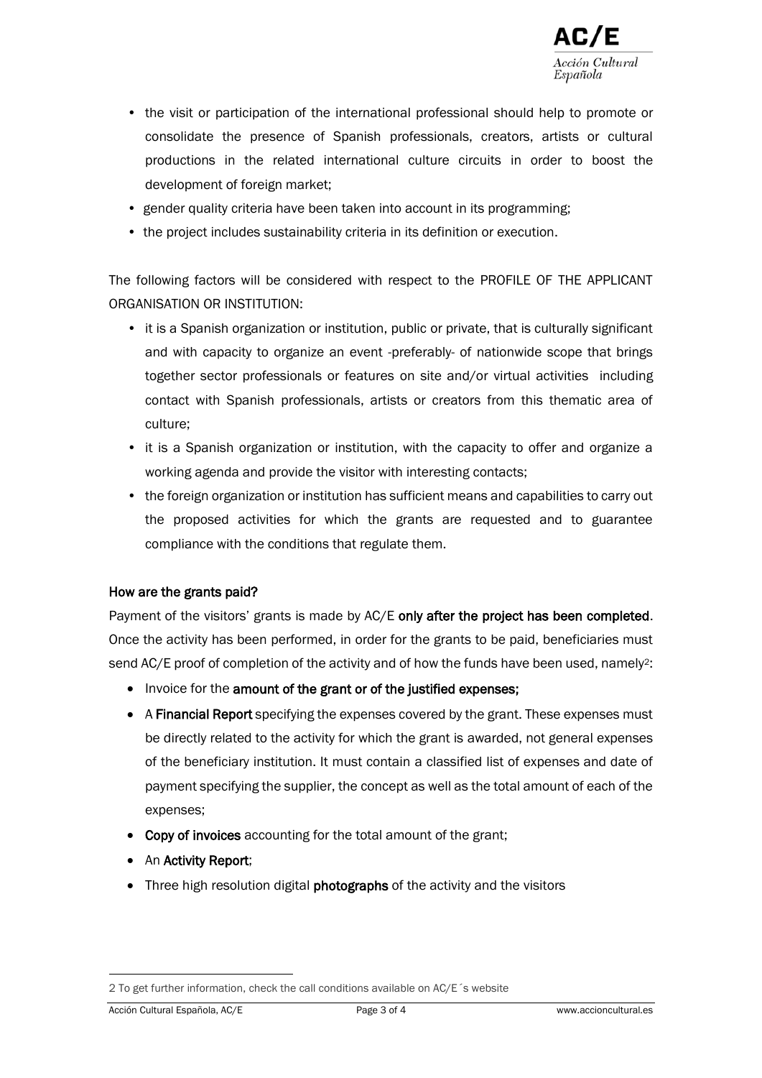

- the visit or participation of the international professional should help to promote or consolidate the presence of Spanish professionals, creators, artists or cultural productions in the related international culture circuits in order to boost the development of foreign market;
- gender quality criteria have been taken into account in its programming;
- the project includes sustainability criteria in its definition or execution.

The following factors will be considered with respect to the PROFILE OF THE APPLICANT ORGANISATION OR INSTITUTION:

- it is a Spanish organization or institution, public or private, that is culturally significant and with capacity to organize an event -preferably- of nationwide scope that brings together sector professionals or features on site and/or virtual activities including contact with Spanish professionals, artists or creators from this thematic area of culture;
- it is a Spanish organization or institution, with the capacity to offer and organize a working agenda and provide the visitor with interesting contacts;
- the foreign organization or institution has sufficient means and capabilities to carry out the proposed activities for which the grants are requested and to guarantee compliance with the conditions that regulate them.

# How are the grants paid?

Payment of the visitors' grants is made by AC/E only after the project has been completed. Once the activity has been performed, in order for the grants to be paid, beneficiaries must send AC/E proof of completion of the activity and of how the funds have been used, namely<sup>2</sup>:

- Invoice for the amount of the grant or of the justified expenses;
- A Financial Report specifying the expenses covered by the grant. These expenses must be directly related to the activity for which the grant is awarded, not general expenses of the beneficiary institution. It must contain a classified list of expenses and date of payment specifying the supplier, the concept as well as the total amount of each of the expenses;
- Copy of invoices accounting for the total amount of the grant;
- An Activity Report;
- Three high resolution digital **photographs** of the activity and the visitors

<sup>2</sup> To get further information, check the call conditions available on AC/E´s website